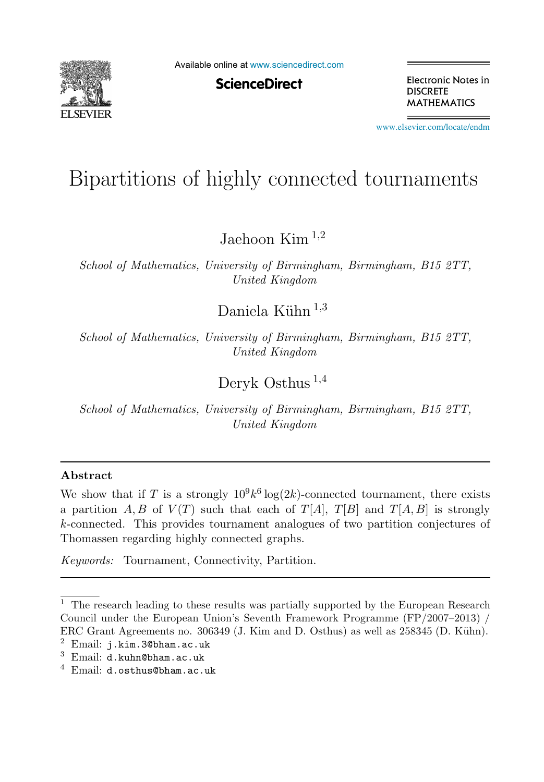

Available online at [www.sciencedirect.com](http://www.sciencedirect.com)

**ScienceDirect** 

Electronic Notes in **DISCRETE MATHEMATICS** 

[www.elsevier.com/locate/endm](http://www.elsevier.com/locate/endm)

# Bipartitions of highly connected tournaments

Jaehoon Kim <sup>1</sup>,<sup>2</sup>

School of Mathematics, University of Birmingham, Birmingham, B15 2TT, United Kingdom

Daniela Kühn  $^{1,3}$ 

School of Mathematics, University of Birmingham, Birmingham, B15 2TT, United Kingdom

Deryk Osthus <sup>1</sup>,<sup>4</sup>

School of Mathematics, University of Birmingham, Birmingham, B15 2TT, United Kingdom

## **Abstract**

We show that if T is a strongly  $10^9k^6 \log(2k)$ -connected tournament, there exists a partition A, B of  $V(T)$  such that each of  $T[A], T[B]$  and  $T[A, B]$  is strongly k-connected. This provides tournament analogues of two partition conjectures of Thomassen regarding highly connected graphs.

Keywords: Tournament, Connectivity, Partition.

 $^{\rm 1}$  The research leading to these results was partially supported by the European Research Council under the European Union's Seventh Framework Programme (FP/2007–2013) / ERC Grant Agreements no. 306349 (J. Kim and D. Osthus) as well as 258345 (D. Kühn). <sup>2</sup> Email: j.kim.3@bham.ac.uk

 $3$  Email: d.kuhn@bham.ac.uk

 $4$  Email: d.osthus@bham.ac.uk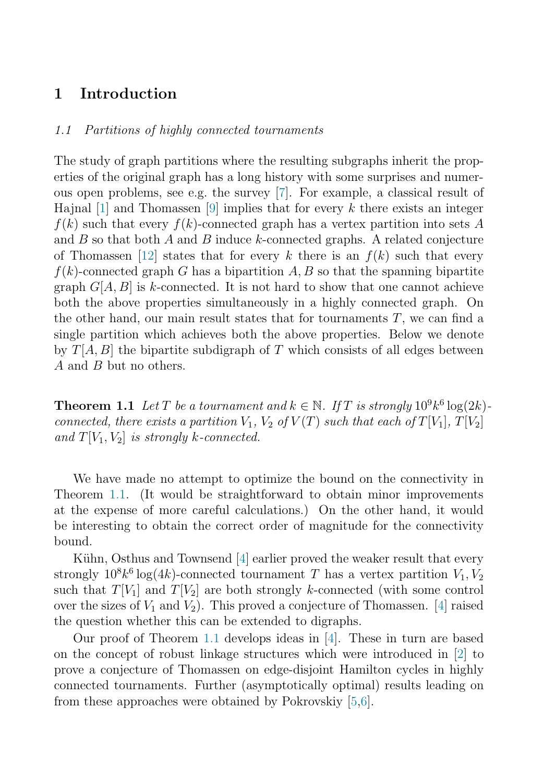# <span id="page-1-0"></span>**1 Introduction**

#### 1.1 Partitions of highly connected tournaments

The study of graph partitions where the resulting subgraphs inherit the properties of the original graph has a long history with some surprises and numerous open problems, see e.g. the survey [\[7\]](#page-4-0). For example, a classical result of Hajnal  $[1]$  and Thomassen  $[9]$  implies that for every k there exists an integer  $f(k)$  such that every  $f(k)$ -connected graph has a vertex partition into sets A and  $B$  so that both  $A$  and  $B$  induce  $k$ -connected graphs. A related conjecture of Thomassen [\[12\]](#page-5-0) states that for every k there is an  $f(k)$  such that every  $f(k)$ -connected graph G has a bipartition A, B so that the spanning bipartite graph  $G[A, B]$  is k-connected. It is not hard to show that one cannot achieve both the above properties simultaneously in a highly connected graph. On the other hand, our main result states that for tournaments  $T$ , we can find a single partition which achieves both the above properties. Below we denote by  $T[A, B]$  the bipartite subdigraph of T which consists of all edges between A and B but no others.

**Theorem 1.1** Let T be a tournament and  $k \in \mathbb{N}$ . If T is strongly  $10^9 k^6 \log(2k)$ connected, there exists a partition  $V_1$ ,  $V_2$  of  $V(T)$  such that each of  $T[V_1]$ ,  $T[V_2]$ and  $T[V_1, V_2]$  is strongly k-connected.

We have made no attempt to optimize the bound on the connectivity in Theorem 1.1. (It would be straightforward to obtain minor improvements at the expense of more careful calculations.) On the other hand, it would be interesting to obtain the correct order of magnitude for the connectivity bound.

Kühn, Osthus and Townsend [\[4\]](#page-4-0) earlier proved the weaker result that every strongly  $10^8k^6 \log(4k)$ -connected tournament T has a vertex partition  $V_1, V_2$ such that  $T[V_1]$  and  $T[V_2]$  are both strongly k-connected (with some control over the sizes of  $V_1$  and  $V_2$ ). This proved a conjecture of Thomassen. [\[4\]](#page-4-0) raised the question whether this can be extended to digraphs.

Our proof of Theorem 1.1 develops ideas in [\[4\]](#page-4-0). These in turn are based on the concept of robust linkage structures which were introduced in [\[2\]](#page-4-0) to prove a conjecture of Thomassen on edge-disjoint Hamilton cycles in highly connected tournaments. Further (asymptotically optimal) results leading on from these approaches were obtained by Pokrovskiy [\[5,6\]](#page-4-0).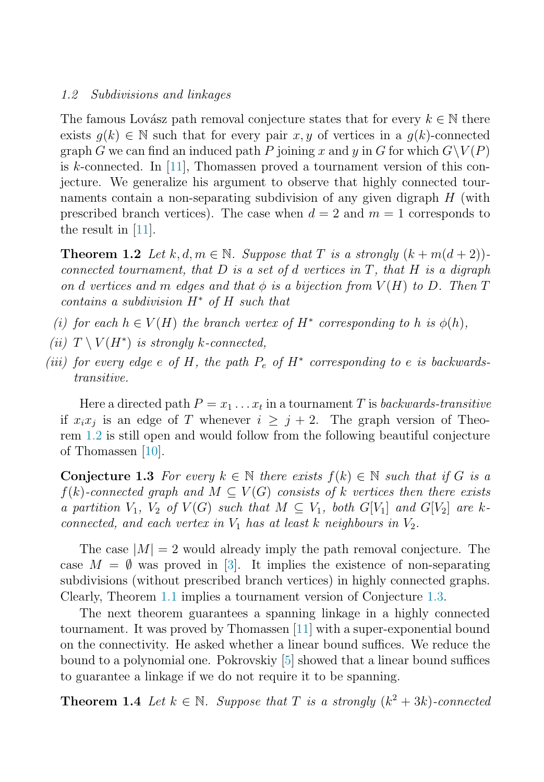#### 1.2 Subdivisions and linkages

The famous Lovász path removal conjecture states that for every  $k \in \mathbb{N}$  there exists  $q(k) \in \mathbb{N}$  such that for every pair x, y of vertices in a  $q(k)$ -connected graph G we can find an induced path P joining x and y in G for which  $G\backslash V(P)$ is k-connected. In [\[11\]](#page-4-0), Thomassen proved a tournament version of this conjecture. We generalize his argument to observe that highly connected tournaments contain a non-separating subdivision of any given digraph  $H$  (with prescribed branch vertices). The case when  $d = 2$  and  $m = 1$  corresponds to the result in  $|11|$ .

**Theorem 1.2** Let k, d,  $m \in \mathbb{N}$ . Suppose that T is a strongly  $(k + m(d + 2))$ . connected tournament, that  $D$  is a set of d vertices in  $T$ , that  $H$  is a digraph on d vertices and m edges and that  $\phi$  is a bijection from  $V(H)$  to D. Then T contains a subdivision H<sup>∗</sup> of H such that

- (i) for each  $h \in V(H)$  the branch vertex of  $H^*$  corresponding to h is  $\phi(h)$ ,
- (ii)  $T \setminus V(H^*)$  is strongly k-connected,
- (iii) for every edge e of H, the path  $P_e$  of  $H^*$  corresponding to e is backwardstransitive.

Here a directed path  $P = x_1 \ldots x_t$  in a tournament T is backwards-transitive if  $x_ix_j$  is an edge of T whenever  $i \geq j+2$ . The graph version of Theorem 1.2 is still open and would follow from the following beautiful conjecture of Thomassen  $|10|$ .

**Conjecture 1.3** For every  $k \in \mathbb{N}$  there exists  $f(k) \in \mathbb{N}$  such that if G is a  $f(k)$ -connected graph and  $M \subseteq V(G)$  consists of k vertices then there exists a partition  $V_1$ ,  $V_2$  of  $V(G)$  such that  $M \subseteq V_1$ , both  $G[V_1]$  and  $G[V_2]$  are kconnected, and each vertex in  $V_1$  has at least k neighbours in  $V_2$ .

The case  $|M| = 2$  would already imply the path removal conjecture. The case  $M = \emptyset$  was proved in [\[3\]](#page-4-0). It implies the existence of non-separating subdivisions (without prescribed branch vertices) in highly connected graphs. Clearly, Theorem [1.1](#page-1-0) implies a tournament version of Conjecture 1.3.

The next theorem guarantees a spanning linkage in a highly connected tournament. It was proved by Thomassen [\[11\]](#page-4-0) with a super-exponential bound on the connectivity. He asked whether a linear bound suffices. We reduce the bound to a polynomial one. Pokrovskiy [\[5\]](#page-4-0) showed that a linear bound suffices to guarantee a linkage if we do not require it to be spanning.

**Theorem 1.4** Let  $k \in \mathbb{N}$ . Suppose that T is a strongly  $(k^2 + 3k)$ -connected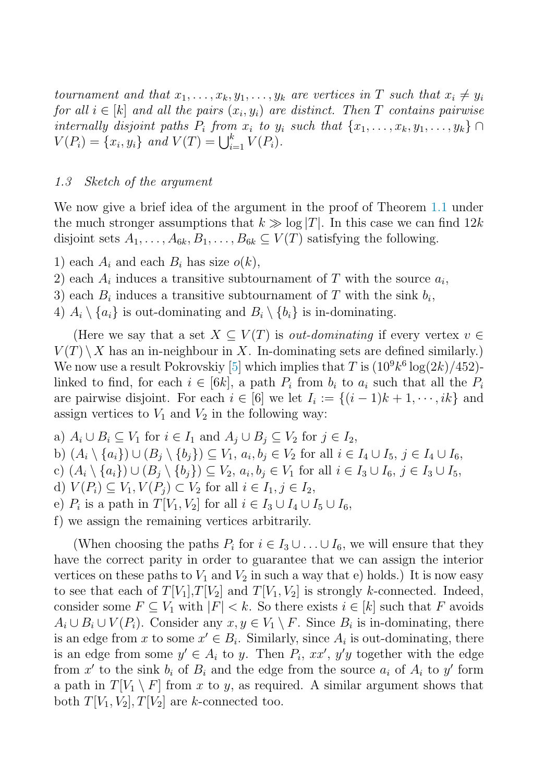tournament and that  $x_1, \ldots, x_k, y_1, \ldots, y_k$  are vertices in T such that  $x_i \neq y_i$ for all  $i \in [k]$  and all the pairs  $(x_i, y_i)$  are distinct. Then T contains pairwise internally disjoint paths  $P_i$  from  $x_i$  to  $y_i$  such that  $\{x_1, \ldots, x_k, y_1, \ldots, y_k\} \cap$  $V(P_i) = \{x_i, y_i\}$  and  $V(T) = \bigcup_{i=1}^k V(P_i)$ .

### 1.3 Sketch of the argument

We now give a brief idea of the argument in the proof of Theorem [1.1](#page-1-0) under the much stronger assumptions that  $k \gg \log |T|$ . In this case we can find  $12k$ disjoint sets  $A_1, \ldots, A_{6k}, B_1, \ldots, B_{6k} \subseteq V(T)$  satisfying the following.

- 1) each  $A_i$  and each  $B_i$  has size  $o(k)$ ,
- 2) each  $A_i$  induces a transitive subtournament of T with the source  $a_i$ ,
- 3) each  $B_i$  induces a transitive subtournament of T with the sink  $b_i$ ,
- 4)  $A_i \setminus \{a_i\}$  is out-dominating and  $B_i \setminus \{b_i\}$  is in-dominating.

(Here we say that a set  $X \subseteq V(T)$  is *out-dominating* if every vertex  $v \in$  $V(T) \setminus X$  has an in-neighbour in X. In-dominating sets are defined similarly.) We now use a result Pokrovskiy [\[5\]](#page-4-0) which implies that T is  $(10^9 k^6 \log(2k)/452)$ linked to find, for each  $i \in [6k]$ , a path  $P_i$  from  $b_i$  to  $a_i$  such that all the  $P_i$ are pairwise disjoint. For each  $i \in [6]$  we let  $I_i := \{(i-1)k + 1, \dots, ik\}$  and assign vertices to  $V_1$  and  $V_2$  in the following way:

a)  $A_i \cup B_i \subseteq V_1$  for  $i \in I_1$  and  $A_j \cup B_j \subseteq V_2$  for  $j \in I_2$ , b)  $(A_i \setminus \{a_i\}) \cup (B_i \setminus \{b_i\}) \subseteq V_1, a_i, b_i \in V_2$  for all  $i \in I_4 \cup I_5, j \in I_4 \cup I_6$ , c)  $(A_i \setminus \{a_i\}) \cup (B_j \setminus \{b_i\}) \subseteq V_2, a_i, b_j \in V_1$  for all  $i \in I_3 \cup I_6, j \in I_3 \cup I_5$ , d)  $V(P_i) \subseteq V_1, V(P_i) \subset V_2$  for all  $i \in I_1, j \in I_2$ , e)  $P_i$  is a path in  $T[V_1, V_2]$  for all  $i \in I_3 \cup I_4 \cup I_5 \cup I_6$ ,

f) we assign the remaining vertices arbitrarily.

(When choosing the paths  $P_i$  for  $i \in I_3 \cup ... \cup I_6$ , we will ensure that they have the correct parity in order to guarantee that we can assign the interior vertices on these paths to  $V_1$  and  $V_2$  in such a way that e) holds.) It is now easy to see that each of  $T[V_1], T[V_2]$  and  $T[V_1, V_2]$  is strongly k-connected. Indeed, consider some  $F \subseteq V_1$  with  $|F| < k$ . So there exists  $i \in [k]$  such that F avoids  $A_i \cup B_i \cup V(P_i)$ . Consider any  $x, y \in V_1 \setminus F$ . Since  $B_i$  is in-dominating, there is an edge from x to some  $x' \in B_i$ . Similarly, since  $A_i$  is out-dominating, there is an edge from some  $y' \in A_i$  to y. Then  $P_i$ ,  $xx'$ ,  $y'y$  together with the edge from x' to the sink  $b_i$  of  $B_i$  and the edge from the source  $a_i$  of  $A_i$  to y' form a path in  $T[V_1 \setminus F]$  from x to y, as required. A similar argument shows that both  $T[V_1, V_2], T[V_2]$  are k-connected too.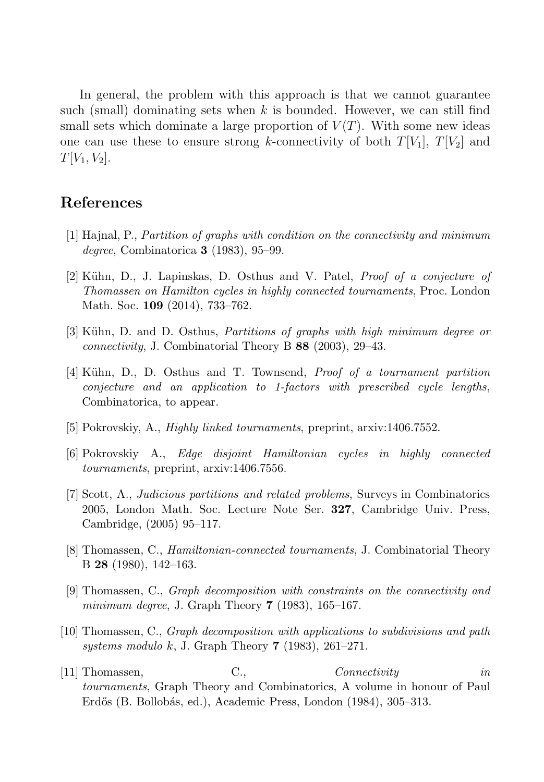<span id="page-4-0"></span>In general, the problem with this approach is that we cannot guarantee such (small) dominating sets when  $k$  is bounded. However, we can still find small sets which dominate a large proportion of  $V(T)$ . With some new ideas one can use these to ensure strong k-connectivity of both  $T[V_1], T[V_2]$  and  $T[V_1, V_2]$ .

## **References**

- [1] Hajnal, P., Partition of graphs with condition on the connectivity and minimum degree, Combinatorica **3** (1983), 95–99.
- [2] Kühn, D., J. Lapinskas, D. Osthus and V. Patel, *Proof of a conjecture of* Thomassen on Hamilton cycles in highly connected tournaments, Proc. London Math. Soc. **109** (2014), 733–762.
- [3] Kühn, D. and D. Osthus, *Partitions of graphs with high minimum degree or* connectivity, J. Combinatorial Theory B **88** (2003), 29–43.
- [4] Kühn, D., D. Osthus and T. Townsend, *Proof of a tournament partition* conjecture and an application to 1-factors with prescribed cycle lengths, Combinatorica, to appear.
- [5] Pokrovskiy, A., Highly linked tournaments, preprint, arxiv:1406.7552.
- [6] Pokrovskiy A., Edge disjoint Hamiltonian cycles in highly connected tournaments, preprint, arxiv:1406.7556.
- [7] Scott, A., Judicious partitions and related problems, Surveys in Combinatorics 2005, London Math. Soc. Lecture Note Ser. **327**, Cambridge Univ. Press, Cambridge, (2005) 95–117.
- [8] Thomassen, C., Hamiltonian-connected tournaments, J. Combinatorial Theory B **28** (1980), 142–163.
- [9] Thomassen, C., Graph decomposition with constraints on the connectivity and minimum degree, J. Graph Theory **7** (1983), 165–167.
- [10] Thomassen, C., Graph decomposition with applications to subdivisions and path systems modulo k, J. Graph Theory **7** (1983), 261–271.
- [11] Thomassen, C., Connectivity in tournaments, Graph Theory and Combinatorics, A volume in honour of Paul Erdős (B. Bollobás, ed.), Academic Press, London (1984), 305–313.